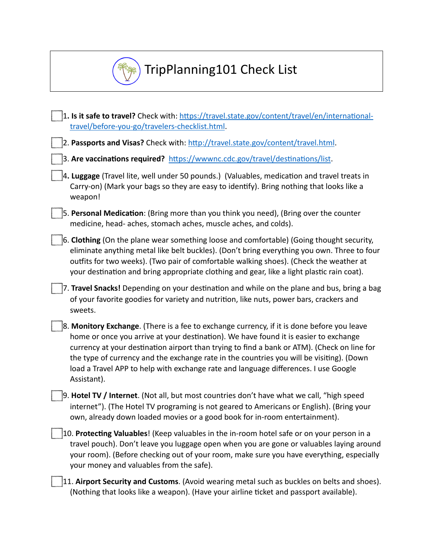

## TripPlanning101 Check List

| 1. Is it safe to travel? Check with: https://travel.state.gov/content/travel/en/international- |
|------------------------------------------------------------------------------------------------|
| travel/before-you-go/travelers-checklist.html.                                                 |

2. Passports and Visas? Check with: http://travel.state.gov/content/travel.html.

3. Are vaccinations required? https://wwwnc.cdc.gov/travel/destinations/list.

- 4. Luggage (Travel lite, well under 50 pounds.) (Valuables, medication and travel treats in Carry-on) (Mark your bags so they are easy to identify). Bring nothing that looks like a weapon!
- 5. Personal Medication: (Bring more than you think you need), (Bring over the counter medicine, head- aches, stomach aches, muscle aches, and colds).
- 6. Clothing (On the plane wear something loose and comfortable) (Going thought security, eliminate anything metal like belt buckles). (Don't bring everything you own. Three to four outfits for two weeks). (Two pair of comfortable walking shoes). (Check the weather at your destination and bring appropriate clothing and gear, like a light plastic rain coat).
- 7. **Travel Snacks!** Depending on your destination and while on the plane and bus, bring a bag of your favorite goodies for variety and nutrition, like nuts, power bars, crackers and sweets.
- 8. Monitory Exchange. (There is a fee to exchange currency, if it is done before you leave home or once you arrive at your destination). We have found it is easier to exchange currency at your destination airport than trying to find a bank or ATM). (Check on line for the type of currency and the exchange rate in the countries you will be visiting). (Down load a Travel APP to help with exchange rate and language differences. I use Google Assistant).
- 9. **Hotel TV / Internet**. (Not all, but most countries don't have what we call, "high speed internet"). (The Hotel TV programing is not geared to Americans or English). (Bring your own, already down loaded movies or a good book for in-room entertainment).
- 10. Protecting Valuables! (Keep valuables in the in-room hotel safe or on your person in a travel pouch). Don't leave you luggage open when you are gone or valuables laying around your room). (Before checking out of your room, make sure you have everything, especially your money and valuables from the safe).
- 11. **Airport Security and Customs**. (Avoid wearing metal such as buckles on belts and shoes). (Nothing that looks like a weapon). (Have your airline ticket and passport available).